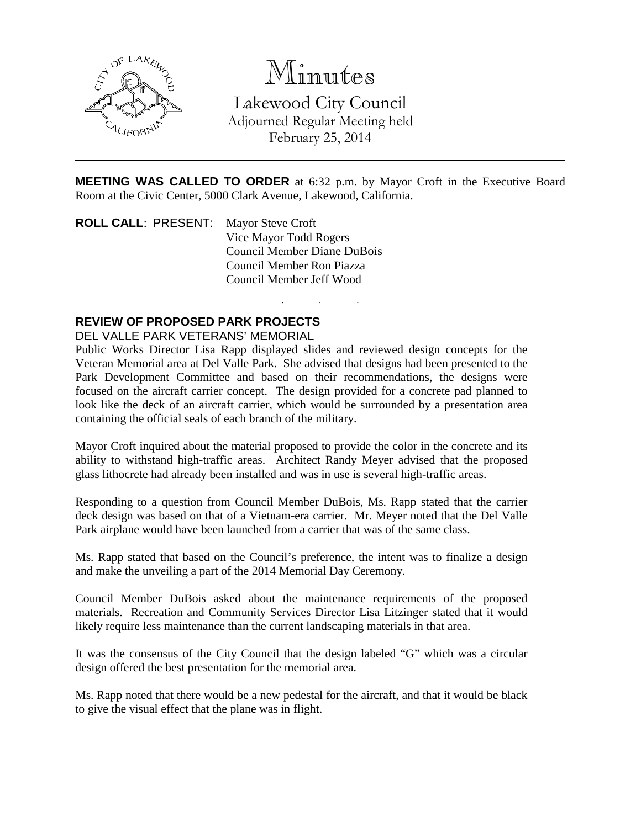

# Minutes

Lakewood City Council Adjourned Regular Meeting held February 25, 2014

**MEETING WAS CALLED TO ORDER** at 6:32 p.m. by Mayor Croft in the Executive Board Room at the Civic Center, 5000 Clark Avenue, Lakewood, California.

. . .

**ROLL CALL: PRESENT:** Mayor Steve Croft Vice Mayor Todd Rogers Council Member Diane DuBois Council Member Ron Piazza Council Member Jeff Wood

# **REVIEW OF PROPOSED PARK PROJECTS**

#### DEL VALLE PARK VETERANS' MEMORIAL

Public Works Director Lisa Rapp displayed slides and reviewed design concepts for the Veteran Memorial area at Del Valle Park. She advised that designs had been presented to the Park Development Committee and based on their recommendations, the designs were focused on the aircraft carrier concept. The design provided for a concrete pad planned to look like the deck of an aircraft carrier, which would be surrounded by a presentation area containing the official seals of each branch of the military.

Mayor Croft inquired about the material proposed to provide the color in the concrete and its ability to withstand high-traffic areas. Architect Randy Meyer advised that the proposed glass lithocrete had already been installed and was in use is several high-traffic areas.

Responding to a question from Council Member DuBois, Ms. Rapp stated that the carrier deck design was based on that of a Vietnam-era carrier. Mr. Meyer noted that the Del Valle Park airplane would have been launched from a carrier that was of the same class.

Ms. Rapp stated that based on the Council's preference, the intent was to finalize a design and make the unveiling a part of the 2014 Memorial Day Ceremony.

Council Member DuBois asked about the maintenance requirements of the proposed materials. Recreation and Community Services Director Lisa Litzinger stated that it would likely require less maintenance than the current landscaping materials in that area.

It was the consensus of the City Council that the design labeled "G" which was a circular design offered the best presentation for the memorial area.

Ms. Rapp noted that there would be a new pedestal for the aircraft, and that it would be black to give the visual effect that the plane was in flight.